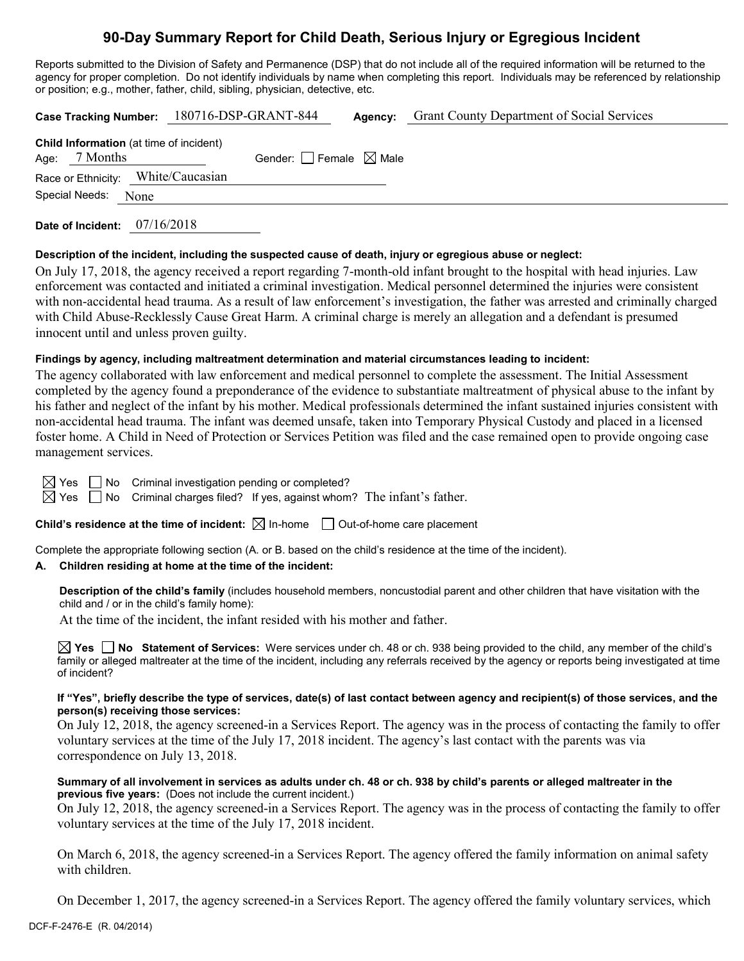## **90-Day Summary Report for Child Death, Serious Injury or Egregious Incident**

Reports submitted to the Division of Safety and Permanence (DSP) that do not include all of the required information will be returned to the agency for proper completion. Do not identify individuals by name when completing this report. Individuals may be referenced by relationship or position; e.g., mother, father, child, sibling, physician, detective, etc.

|  |                     |  | Case Tracking Number: 180716-DSP-GRANT-844     |                                 | Agency: | <b>Grant County Department of Social Services</b> |
|--|---------------------|--|------------------------------------------------|---------------------------------|---------|---------------------------------------------------|
|  | Age: $7$ Months     |  | <b>Child Information</b> (at time of incident) | Gender: Female $\boxtimes$ Male |         |                                                   |
|  |                     |  | Race or Ethnicity: White/Caucasian             |                                 |         |                                                   |
|  | Special Needs: None |  |                                                |                                 |         |                                                   |
|  |                     |  |                                                |                                 |         |                                                   |

**Date of Incident:** 07/16/2018

#### **Description of the incident, including the suspected cause of death, injury or egregious abuse or neglect:**

On July 17, 2018, the agency received a report regarding 7-month-old infant brought to the hospital with head injuries. Law enforcement was contacted and initiated a criminal investigation. Medical personnel determined the injuries were consistent with non-accidental head trauma. As a result of law enforcement's investigation, the father was arrested and criminally charged with Child Abuse-Recklessly Cause Great Harm. A criminal charge is merely an allegation and a defendant is presumed innocent until and unless proven guilty.

#### **Findings by agency, including maltreatment determination and material circumstances leading to incident:**

The agency collaborated with law enforcement and medical personnel to complete the assessment. The Initial Assessment completed by the agency found a preponderance of the evidence to substantiate maltreatment of physical abuse to the infant by his father and neglect of the infant by his mother. Medical professionals determined the infant sustained injuries consistent with non-accidental head trauma. The infant was deemed unsafe, taken into Temporary Physical Custody and placed in a licensed foster home. A Child in Need of Protection or Services Petition was filed and the case remained open to provide ongoing case management services.

 $\Box$  No Criminal investigation pending or completed?

 $\boxtimes$  Yes  $\Box$  No Criminal charges filed? If yes, against whom? The infant's father.

**Child's residence at the time of incident:**  $\boxtimes$  In-home  $\Box$  Out-of-home care placement

Complete the appropriate following section (A. or B. based on the child's residence at the time of the incident).

#### **A. Children residing at home at the time of the incident:**

**Description of the child's family** (includes household members, noncustodial parent and other children that have visitation with the child and / or in the child's family home):

At the time of the incident, the infant resided with his mother and father.

**Yes No Statement of Services:** Were services under ch. 48 or ch. 938 being provided to the child, any member of the child's family or alleged maltreater at the time of the incident, including any referrals received by the agency or reports being investigated at time of incident?

#### **If "Yes", briefly describe the type of services, date(s) of last contact between agency and recipient(s) of those services, and the person(s) receiving those services:**

On July 12, 2018, the agency screened-in a Services Report. The agency was in the process of contacting the family to offer voluntary services at the time of the July 17, 2018 incident. The agency's last contact with the parents was via correspondence on July 13, 2018.

#### **Summary of all involvement in services as adults under ch. 48 or ch. 938 by child's parents or alleged maltreater in the previous five years:** (Does not include the current incident.)

On July 12, 2018, the agency screened-in a Services Report. The agency was in the process of contacting the family to offer voluntary services at the time of the July 17, 2018 incident.

On March 6, 2018, the agency screened-in a Services Report. The agency offered the family information on animal safety with children.

On December 1, 2017, the agency screened-in a Services Report. The agency offered the family voluntary services, which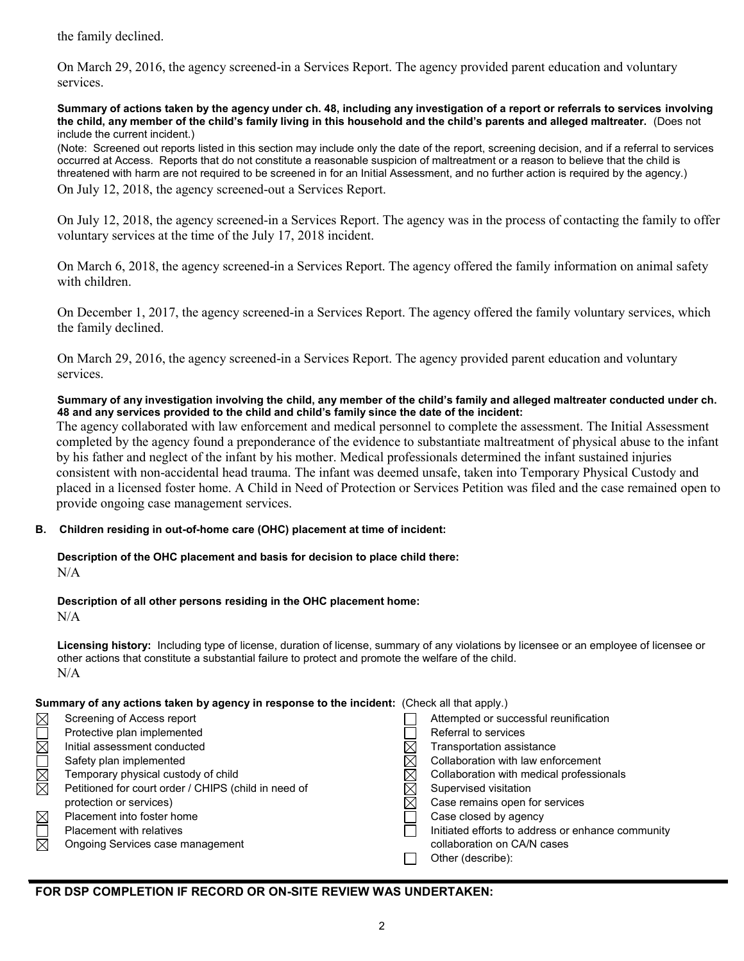the family declined.

On March 29, 2016, the agency screened-in a Services Report. The agency provided parent education and voluntary services.

**Summary of actions taken by the agency under ch. 48, including any investigation of a report or referrals to services involving the child, any member of the child's family living in this household and the child's parents and alleged maltreater.** (Does not include the current incident.)

(Note: Screened out reports listed in this section may include only the date of the report, screening decision, and if a referral to services occurred at Access. Reports that do not constitute a reasonable suspicion of maltreatment or a reason to believe that the child is threatened with harm are not required to be screened in for an Initial Assessment, and no further action is required by the agency.)

On July 12, 2018, the agency screened-out a Services Report.

On July 12, 2018, the agency screened-in a Services Report. The agency was in the process of contacting the family to offer voluntary services at the time of the July 17, 2018 incident.

On March 6, 2018, the agency screened-in a Services Report. The agency offered the family information on animal safety with children.

On December 1, 2017, the agency screened-in a Services Report. The agency offered the family voluntary services, which the family declined.

On March 29, 2016, the agency screened-in a Services Report. The agency provided parent education and voluntary services.

#### **Summary of any investigation involving the child, any member of the child's family and alleged maltreater conducted under ch. 48 and any services provided to the child and child's family since the date of the incident:**

The agency collaborated with law enforcement and medical personnel to complete the assessment. The Initial Assessment completed by the agency found a preponderance of the evidence to substantiate maltreatment of physical abuse to the infant by his father and neglect of the infant by his mother. Medical professionals determined the infant sustained injuries consistent with non-accidental head trauma. The infant was deemed unsafe, taken into Temporary Physical Custody and placed in a licensed foster home. A Child in Need of Protection or Services Petition was filed and the case remained open to provide ongoing case management services.

#### **B. Children residing in out-of-home care (OHC) placement at time of incident:**

# **Description of the OHC placement and basis for decision to place child there:**

 $N/A$ 

## **Description of all other persons residing in the OHC placement home:**

 $N/A$ 

**Licensing history:** Including type of license, duration of license, summary of any violations by licensee or an employee of licensee or other actions that constitute a substantial failure to protect and promote the welfare of the child. N/A

#### **Summary of any actions taken by agency in response to the incident:** (Check all that apply.)

|                        | <b>Additionally as well as a contract with a subset of the reporter to the instruction (Origin)</b> and apply $\eta$ |  |                                                   |  |
|------------------------|----------------------------------------------------------------------------------------------------------------------|--|---------------------------------------------------|--|
| $\boxtimes$            | Screening of Access report                                                                                           |  | Attempted or successful reunification             |  |
| $\overline{\boxtimes}$ | Protective plan implemented                                                                                          |  | Referral to services                              |  |
|                        | Initial assessment conducted                                                                                         |  | Transportation assistance                         |  |
| N<br>M<br>M            | Safety plan implemented                                                                                              |  | Collaboration with law enforcement                |  |
|                        | Temporary physical custody of child                                                                                  |  | Collaboration with medical professionals          |  |
|                        | Petitioned for court order / CHIPS (child in need of                                                                 |  | Supervised visitation                             |  |
|                        | protection or services)                                                                                              |  | Case remains open for services                    |  |
| $\boxtimes$            | Placement into foster home                                                                                           |  | Case closed by agency                             |  |
| $\Box$                 | <b>Placement with relatives</b>                                                                                      |  | Initiated efforts to address or enhance community |  |
| $\boxtimes$            | Ongoing Services case management                                                                                     |  | collaboration on CA/N cases                       |  |
|                        |                                                                                                                      |  | Other (describe):                                 |  |
|                        |                                                                                                                      |  |                                                   |  |

## **FOR DSP COMPLETION IF RECORD OR ON-SITE REVIEW WAS UNDERTAKEN:**